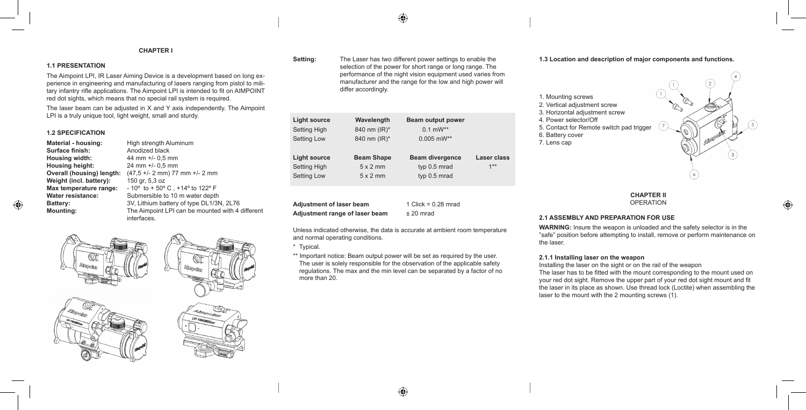## **CHAPTER I**

# **1.1 Presentation**

The Aimpoint LPI, IR Laser Aiming Device is a development based on long experience in engineering and manufacturing of lasers ranging from pistol to military infantry rifle applications. The Aimpoint LPI is intended to fit on AIMPOINT red dot sights, which means that no special rail system is required.

The laser beam can be adjusted in X and Y axis independently. The Aimpoint LPI is a truly unique tool, light weight, small and sturdy.

#### **1.2 Specification**

**Material - housing:** High strength Aluminum **Surface finish:** Anodized black **Housing width:** 44 mm +/- 0,5 mm **Housing height:** 24 mm +/- 0,5 mm **Weight (incl. battery):** 150 gr, 5,3 oz

**Overall (housing) length:** (47,5 +/- 2 mm) 77 mm +/- 2 mm **Max temperature range:**  $-10^{\circ}$  to  $+50^{\circ}$  C,  $+14^{\circ}$  to 122° F **Water resistance:** Submersible to 10 m water depth **Battery:** 3V, Lithium battery of type DL1/3N, 2L76 **Mounting:** The Aimpoint LPI can be mounted with 4 different interfaces.



**Setting:** The Laser has two different power settings to enable the selection of the power for short range or long range. The performance of the night vision equipment used varies from manufacturer and the range for the low and high power will differ accordingly.

 $\bigoplus$ 

| <b>Light source</b>                                       | Wavelength                                              | Beam output power                                      |                             |
|-----------------------------------------------------------|---------------------------------------------------------|--------------------------------------------------------|-----------------------------|
| <b>Setting High</b>                                       | 840 nm (IR)*                                            | $0.1$ mW**                                             |                             |
| <b>Setting Low</b>                                        | 840 nm (IR)*                                            | $0.005$ mW**                                           |                             |
| Light source<br><b>Setting High</b><br><b>Setting Low</b> | <b>Beam Shape</b><br>$5 \times 2$ mm<br>$5 \times 2$ mm | <b>Beam divergence</b><br>typ 0.5 mrad<br>typ 0.5 mrad | <b>Laser class</b><br>$1**$ |

**Adjustment of laser beam** 1 Click = 0.28 mrad **Adjustment range of laser beam** ± 20 mrad

Unless indicated otherwise, the data is accurate at ambient room temperature and normal operating conditions.

\* Typical.

\*\* Important notice: Beam output power will be set as required by the user. The user is solely responsible for the observation of the applicable safety regulations. The max and the min level can be separated by a factor of no more than 20.

#### **1.3 Location and description of major components and functions.**



# **CHAPTER II OPERATION**

# **2.1 Assembly and preparation for use**

**wARNING:** Insure the weapon is unloaded and the safety selector is in the "safe" position before attempting to install, remove or perform maintenance on the laser.

## **2.1.1 Installing laser on the weapon**

Installing the laser on the sight or on the rail of the weapon The laser has to be fitted with the mount corresponding to the mount used on your red dot sight. Remove the upper part of your red dot sight mount and fit the laser in its place as shown. Use thread lock (Loctite) when assembling the laser to the mount with the 2 mounting screws (1).